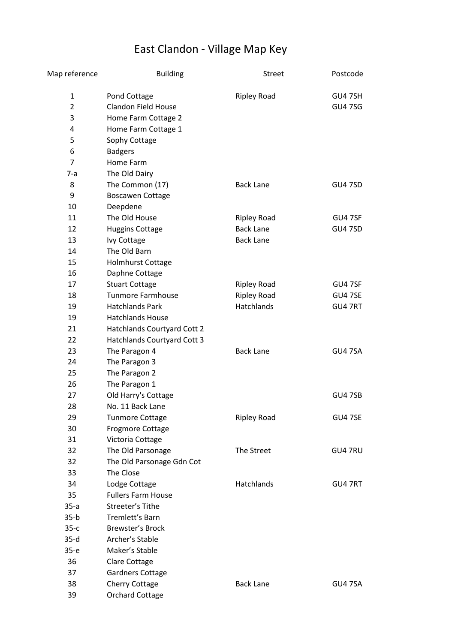## East Clandon - Village Map Key

| Map reference  | <b>Building</b>             | <b>Street</b>      | Postcode       |
|----------------|-----------------------------|--------------------|----------------|
| 1              | Pond Cottage                | <b>Ripley Road</b> | GU4 7SH        |
| $\overline{2}$ | <b>Clandon Field House</b>  |                    | <b>GU47SG</b>  |
| 3              | Home Farm Cottage 2         |                    |                |
| 4              | Home Farm Cottage 1         |                    |                |
| 5              | Sophy Cottage               |                    |                |
| 6              | <b>Badgers</b>              |                    |                |
| $\overline{7}$ | Home Farm                   |                    |                |
| 7-a            | The Old Dairy               |                    |                |
| 8              | The Common (17)             | <b>Back Lane</b>   | <b>GU4 7SD</b> |
| 9              | <b>Boscawen Cottage</b>     |                    |                |
| 10             | Deepdene                    |                    |                |
| 11             | The Old House               | <b>Ripley Road</b> | GU4 7SF        |
| 12             | <b>Huggins Cottage</b>      | <b>Back Lane</b>   | <b>GU4 7SD</b> |
| 13             | <b>Ivy Cottage</b>          | <b>Back Lane</b>   |                |
| 14             | The Old Barn                |                    |                |
| 15             | Holmhurst Cottage           |                    |                |
| 16             | Daphne Cottage              |                    |                |
| 17             | <b>Stuart Cottage</b>       | <b>Ripley Road</b> | GU47SF         |
| 18             | <b>Tunmore Farmhouse</b>    | <b>Ripley Road</b> | GU4 7SE        |
| 19             | <b>Hatchlands Park</b>      | Hatchlands         | GU47RT         |
| 19             | <b>Hatchlands House</b>     |                    |                |
| 21             | Hatchlands Courtyard Cott 2 |                    |                |
| 22             | Hatchlands Courtyard Cott 3 |                    |                |
| 23             | The Paragon 4               | <b>Back Lane</b>   | GU4 7SA        |
| 24             | The Paragon 3               |                    |                |
| 25             | The Paragon 2               |                    |                |
| 26             | The Paragon 1               |                    |                |
| 27             | Old Harry's Cottage         |                    | <b>GU4 7SB</b> |
| 28             | No. 11 Back Lane            |                    |                |
| 29             | <b>Tunmore Cottage</b>      | <b>Ripley Road</b> | <b>GU4 7SE</b> |
| 30             | <b>Frogmore Cottage</b>     |                    |                |
| 31             | Victoria Cottage            |                    |                |
| 32             | The Old Parsonage           | The Street         | GU4 7RU        |
| 32             | The Old Parsonage Gdn Cot   |                    |                |
| 33             | The Close                   |                    |                |
| 34             | Lodge Cottage               | <b>Hatchlands</b>  | GU4 7RT        |
| 35             | <b>Fullers Farm House</b>   |                    |                |
| $35-a$         | Streeter's Tithe            |                    |                |
| $35-b$         | Tremlett's Barn             |                    |                |
| $35-c$         | <b>Brewster's Brock</b>     |                    |                |
| $35-d$         | Archer's Stable             |                    |                |
| $35-e$         | Maker's Stable              |                    |                |
| 36             | Clare Cottage               |                    |                |
| 37             | <b>Gardners Cottage</b>     |                    |                |
| 38             | <b>Cherry Cottage</b>       | <b>Back Lane</b>   | GU47SA         |
| 39             | <b>Orchard Cottage</b>      |                    |                |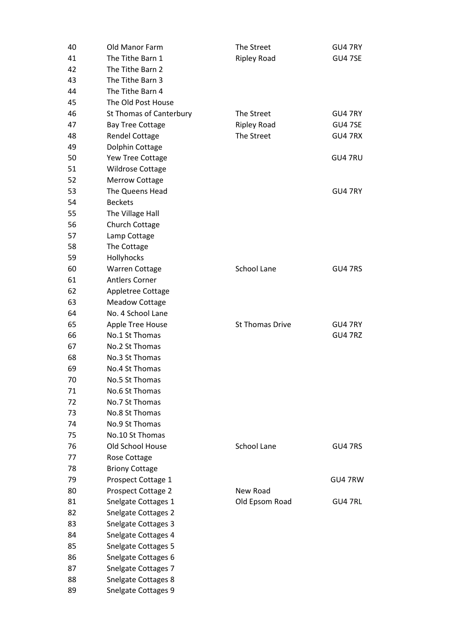| 40 | <b>Old Manor Farm</b>          | The Street             | GU4 7RY        |
|----|--------------------------------|------------------------|----------------|
| 41 | The Tithe Barn 1               | <b>Ripley Road</b>     | GU47SE         |
| 42 | The Tithe Barn 2               |                        |                |
| 43 | The Tithe Barn 3               |                        |                |
| 44 | The Tithe Barn 4               |                        |                |
| 45 | The Old Post House             |                        |                |
| 46 | <b>St Thomas of Canterbury</b> | The Street             | GU4 7RY        |
| 47 | <b>Bay Tree Cottage</b>        | <b>Ripley Road</b>     | <b>GU4 7SE</b> |
| 48 | <b>Rendel Cottage</b>          | The Street             | GU4 7RX        |
| 49 | Dolphin Cottage                |                        |                |
| 50 | Yew Tree Cottage               |                        | GU4 7RU        |
| 51 | <b>Wildrose Cottage</b>        |                        |                |
| 52 | <b>Merrow Cottage</b>          |                        |                |
| 53 | The Queens Head                |                        | GU4 7RY        |
| 54 | <b>Beckets</b>                 |                        |                |
| 55 | The Village Hall               |                        |                |
| 56 | <b>Church Cottage</b>          |                        |                |
| 57 | Lamp Cottage                   |                        |                |
| 58 | The Cottage                    |                        |                |
| 59 | Hollyhocks                     |                        |                |
| 60 | <b>Warren Cottage</b>          | School Lane            | GU4 7RS        |
| 61 | <b>Antlers Corner</b>          |                        |                |
| 62 | Appletree Cottage              |                        |                |
| 63 | <b>Meadow Cottage</b>          |                        |                |
| 64 | No. 4 School Lane              |                        |                |
| 65 | Apple Tree House               | <b>St Thomas Drive</b> | GU4 7RY        |
| 66 | No.1 St Thomas                 |                        | GU4 7RZ        |
| 67 | No.2 St Thomas                 |                        |                |
| 68 | No.3 St Thomas                 |                        |                |
| 69 | No.4 St Thomas                 |                        |                |
| 70 | No.5 St Thomas                 |                        |                |
| 71 | No.6 St Thomas                 |                        |                |
| 72 | No.7 St Thomas                 |                        |                |
| 73 | No.8 St Thomas                 |                        |                |
| 74 | No.9 St Thomas                 |                        |                |
| 75 | No.10 St Thomas                |                        |                |
| 76 | Old School House               | School Lane            | GU4 7RS        |
| 77 | Rose Cottage                   |                        |                |
| 78 | <b>Briony Cottage</b>          |                        |                |
| 79 | Prospect Cottage 1             |                        | GU47RW         |
| 80 | Prospect Cottage 2             | New Road               |                |
| 81 | Snelgate Cottages 1            | Old Epsom Road         | GU4 7RL        |
| 82 | <b>Snelgate Cottages 2</b>     |                        |                |
| 83 | <b>Snelgate Cottages 3</b>     |                        |                |
| 84 | Snelgate Cottages 4            |                        |                |
| 85 | <b>Snelgate Cottages 5</b>     |                        |                |
| 86 | Snelgate Cottages 6            |                        |                |
| 87 | Snelgate Cottages 7            |                        |                |
| 88 | Snelgate Cottages 8            |                        |                |
| 89 | Snelgate Cottages 9            |                        |                |